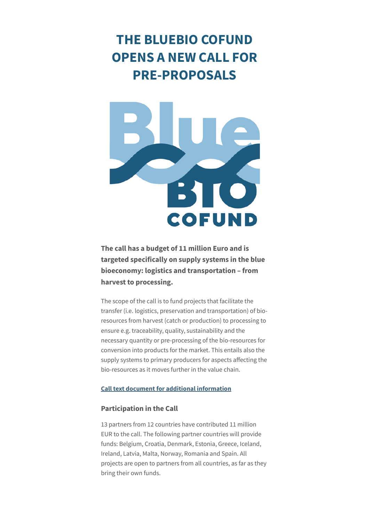# **THE BLUEBIO COFUND OPENS A NEW CALL FOR PRE-PROPOSALS**



**The call has a budget of 11 million Euro and is targeted specifically on supply systems in the blue bioeconomy: logistics and transportation – from harvest to processing.**

The scope of the call is to fund projects that facilitate the transfer (i.e. logistics, preservation and transportation) of bioresources from harvest (catch or production) to processing to ensure e.g. traceability, quality, sustainability and the necessary quantity or pre-processing of the bio-resources for conversion into products for the market. This entails also the supply systems to primary producers for aspects affecting the bio-resources as it moves further in the value chain.

# **[Call text document for additional information](https://matis.createsend1.com/t/t-l-qydlujk-l-y/)**

## **Participation in the Call**

13 partners from 12 countries have contributed 11 million EUR to the call. The following partner countries will provide funds: Belgium, Croatia, Denmark, Estonia, Greece, Iceland, Ireland, Latvia, Malta, Norway, Romania and Spain. All projects are open to partners from all countries, as far as they bring their own funds.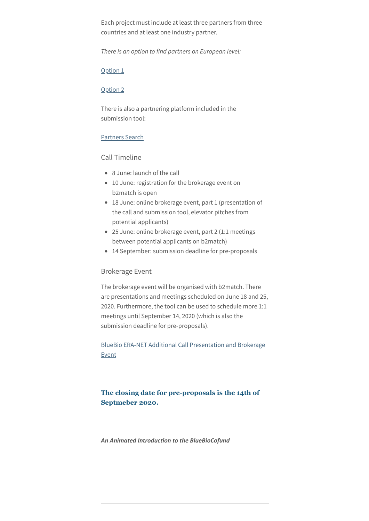Each project must include at least three partners from three countries and at least one industry partner.

*There is an option to find partners on European level:*

#### [Option 1](https://matis.createsend1.com/t/t-l-qydlujk-l-j/)

#### [Option 2](https://matis.createsend1.com/t/t-l-qydlujk-l-t/)

There is also a partnering platform included in the submission tool:

## [Partners Search](https://matis.createsend1.com/t/t-l-qydlujk-l-i/)

# Call Timeline

- 8 June: launch of the call
- 10 June: registration for the brokerage event on b2match is open
- 18 June: online brokerage event, part 1 (presentation of the call and submission tool, elevator pitches from potential applicants)
- 25 June: online brokerage event, part 2 (1:1 meetings between potential applicants on b2match)
- 14 September: submission deadline for pre-proposals

#### Brokerage Event

The brokerage event will be organised with b2match. There are presentations and meetings scheduled on June 18 and 25, 2020. Furthermore, the tool can be used to schedule more 1:1 meetings until September 14, 2020 (which is also the submission deadline for pre-proposals).

[BlueBio ERA-NET Additional Call Presentation and Brokerage](https://matis.createsend1.com/t/t-l-qydlujk-l-d/) Event

# **The closing date for pre-proposals is the 14th of Septmeber 2020.**

*An Animated Introduction to the BlueBioCofund*